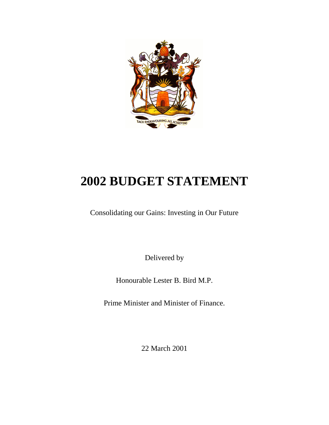

# **2002 BUDGET STATEMENT**

Consolidating our Gains: Investing in Our Future

Delivered by

Honourable Lester B. Bird M.P.

Prime Minister and Minister of Finance.

22 March 2001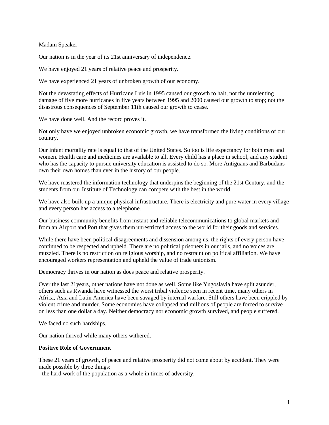Madam Speaker

Our nation is in the year of its 21st anniversary of independence.

We have enjoyed 21 years of relative peace and prosperity.

We have experienced 21 years of unbroken growth of our economy.

Not the devastating effects of Hurricane Luis in 1995 caused our growth to halt, not the unrelenting damage of five more hurricanes in five years between 1995 and 2000 caused our growth to stop; not the disastrous consequences of September 11th caused our growth to cease.

We have done well. And the record proves it.

Not only have we enjoyed unbroken economic growth, we have transformed the living conditions of our country.

Our infant mortality rate is equal to that of the United States. So too is life expectancy for both men and women. Health care and medicines are available to all. Every child has a place in school, and any student who has the capacity to pursue university education is assisted to do so. More Antiguans and Barbudans own their own homes than ever in the history of our people.

We have mastered the information technology that underpins the beginning of the 21st Century, and the students from our Institute of Technology can compete with the best in the world.

We have also built-up a unique physical infrastructure. There is electricity and pure water in every village and every person has access to a telephone.

Our business community benefits from instant and reliable telecommunications to global markets and from an Airport and Port that gives them unrestricted access to the world for their goods and services.

While there have been political disagreements and dissension among us, the rights of every person have continued to be respected and upheld. There are no political prisoners in our jails, and no voices are muzzled. There is no restriction on religious worship, and no restraint on political affiliation. We have encouraged workers representation and upheld the value of trade unionism.

Democracy thrives in our nation as does peace and relative prosperity.

Over the last 21years, other nations have not done as well. Some like Yugoslavia have split asunder, others such as Rwanda have witnessed the worst tribal violence seen in recent time, many others in Africa, Asia and Latin America have been savaged by internal warfare. Still others have been crippled by violent crime and murder. Some economies have collapsed and millions of people are forced to survive on less than one dollar a day. Neither democracy nor economic growth survived, and people suffered.

We faced no such hardships.

Our nation thrived while many others withered.

#### **Positive Role of Government**

These 21 years of growth, of peace and relative prosperity did not come about by accident. They were made possible by three things:

- the hard work of the population as a whole in times of adversity,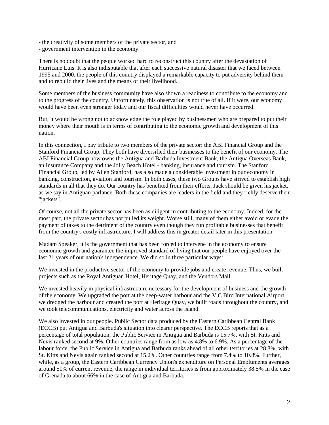- the creativity of some members of the private sector, and
- government intervention in the economy.

There is no doubt that the people worked hard to reconstruct this country after the devastation of Hurricane Luis. It is also indisputable that after each successive natural disaster that we faced between 1995 and 2000, the people of this country displayed a remarkable capacity to put adversity behind them and to rebuild their lives and the means of their livelihood.

Some members of the business community have also shown a readiness to contribute to the economy and to the progress of the country. Unfortunately, this observation is not true of all. If it were, our economy would have been even stronger today and our fiscal difficulties would never have occurred.

But, it would be wrong not to acknowledge the role played by businessmen who are prepared to put their money where their mouth is in terms of contributing to the economic growth and development of this nation.

In this connection, I pay tribute to two members of the private sector: the ABI Financial Group and the Stanford Financial Group. They both have diversified their businesses to the benefit of our economy. The ABI Financial Group now owns the Antigua and Barbuda Investment Bank, the Antigua Overseas Bank, an Insurance Company and the Jolly Beach Hotel - banking, insurance and tourism. The Stanford Financial Group, led by Allen Stanford, has also made a considerable investment in our economy in banking, construction, aviation and tourism. In both cases, these two Groups have strived to establish high standards in all that they do. Our country has benefited from their efforts. Jack should be given his jacket, as we say in Antiguan parlance. Both these companies are leaders in the field and they richly deserve their "jackets".

Of course, not all the private sector has been as diligent in contributing to the economy. Indeed, for the most part, the private sector has not pulled its weight. Worse still, many of them either avoid or evade the payment of taxes to the detriment of the country even though they run profitable businesses that benefit from the country's costly infrastructure. I will address this in greater detail later in this presentation.

Madam Speaker, it is the government that has been forced to intervene in the economy to ensure economic growth and guarantee the improved standard of living that our people have enjoyed over the last 21 years of our nation's independence. We did so in three particular ways:

We invested in the productive sector of the economy to provide jobs and create revenue. Thus, we built projects such as the Royal Antiguan Hotel, Heritage Quay, and the Vendors Mall.

We invested heavily in physical infrastructure necessary for the development of business and the growth of the economy. We upgraded the port at the deep-water harbour and the V C Bird International Airport, we dredged the harbour and created the port at Heritage Quay, we built roads throughout the country, and we took telecommunications, electricity and water across the island.

We also invested in our people. Public Sector data produced by the Eastern Caribbean Central Bank (ECCB) put Antigua and Barbuda's situation into clearer perspective. The ECCB reports that as a percentage of total population, the Public Service in Antigua and Barbuda is 15.7%, with St. Kitts and Nevis ranked second at 9%. Other countries range from as low as 4.8% to 6.9%. As a percentage of the labour force, the Public Service in Antigua and Barbuda ranks ahead of all other territories at 28.8%, with St. Kitts and Nevis again ranked second at 15.2%. Other countries range from 7.4% to 10.8%. Further, while, as a group, the Eastern Caribbean Currency Union's expenditure on Personal Emoluments averages around 50% of current revenue, the range in individual territories is from approximately 38.5% in the case of Grenada to about 66% in the case of Antigua and Barbuda.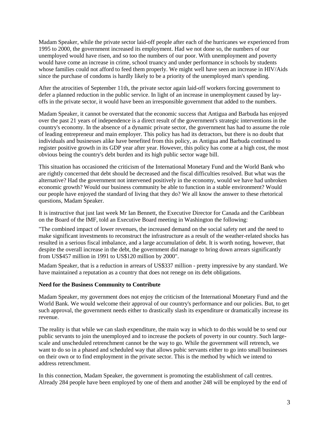Madam Speaker, while the private sector laid-off people after each of the hurricanes we experienced from 1995 to 2000, the government increased its employment. Had we not done so, the numbers of our unemployed would have risen, and so too the numbers of our poor. With unemployment and poverty would have come an increase in crime, school truancy and under performance in schools by students whose families could not afford to feed them properly. We might well have seen an increase in HIV/Aids since the purchase of condoms is hardly likely to be a priority of the unemployed man's spending.

After the atrocities of September 11th, the private sector again laid-off workers forcing government to defer a planned reduction in the public service. In light of an increase in unemployment caused by layoffs in the private sector, it would have been an irresponsible government that added to the numbers.

Madam Speaker, it cannot be overstated that the economic success that Antigua and Barbuda has enjoyed over the past 21 years of independence is a direct result of the government's strategic interventions in the country's economy. In the absence of a dynamic private sector, the government has had to assume the role of leading entrepreneur and main employer. This policy has had its detractors, but there is no doubt that individuals and businesses alike have benefited from this policy, as Antigua and Barbuda continued to register positive growth in its GDP year after year. However, this policy has come at a high cost, the most obvious being the country's debt burden and its high public sector wage bill.

This situation has occasioned the criticism of the International Monetary Fund and the World Bank who are rightly concerned that debt should be decreased and the fiscal difficulties resolved. But what was the alternative? Had the government not intervened positively in the economy, would we have had unbroken economic growth? Would our business community be able to function in a stable environment? Would our people have enjoyed the standard of living that they do? We all know the answer to these rhetorical questions, Madam Speaker.

It is instructive that just last week Mr Ian Bennett, the Executive Director for Canada and the Caribbean on the Board of the IMF, told an Executive Board meeting in Washington the following:

"The combined impact of lower revenues, the increased demand on the social safety net and the need to make significant investments to reconstruct the infrastructure as a result of the weather-related shocks has resulted in a serious fiscal imbalance, and a large accumulation of debt. It is worth noting, however, that despite the overall increase in the debt, the government did manage to bring down arrears significantly from US\$457 million in 1991 to US\$120 million by 2000".

Madam Speaker, that is a reduction in arrears of US\$337 million - pretty impressive by any standard. We have maintained a reputation as a country that does not renege on its debt obligations.

#### **Need for the Business Community to Contribute**

Madam Speaker, my government does not enjoy the criticism of the International Monetary Fund and the World Bank. We would welcome their approval of our country's performance and our policies. But, to get such approval, the government needs either to drastically slash its expenditure or dramatically increase its revenue.

The reality is that while we can slash expenditure, the main way in which to do this would be to send our public servants to join the unemployed and to increase the pockets of poverty in our country. Such largescale and unscheduled retrenchment cannot be the way to go. While the government will retrench, we want to do so in a phased and scheduled way that allows pubic servants either to go into small businesses on their own or to find employment in the private sector. This is the method by which we intend to address retrenchment.

In this connection, Madam Speaker, the government is promoting the establishment of call centres. Already 284 people have been employed by one of them and another 248 will be employed by the end of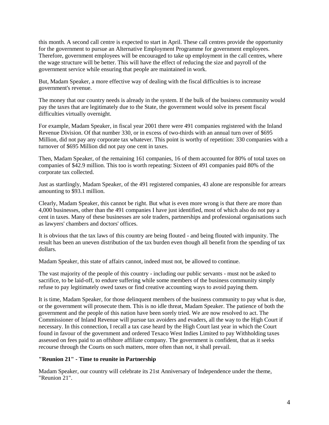this month. A second call centre is expected to start in April. These call centres provide the opportunity for the government to pursue an Alternative Employment Programme for government employees. Therefore, government employees will be encouraged to take up employment in the call centres, where the wage structure will be better. This will have the effect of reducing the size and payroll of the government service while ensuring that people are maintained in work.

But, Madam Speaker, a more effective way of dealing with the fiscal difficulties is to increase government's revenue.

The money that our country needs is already in the system. If the bulk of the business community would pay the taxes that are legitimately due to the State, the government would solve its present fiscal difficulties virtually overnight.

For example, Madam Speaker, in fiscal year 2001 there were 491 companies registered with the Inland Revenue Division. Of that number 330, or in excess of two-thirds with an annual turn over of \$695 Million, did not pay any corporate tax whatever. This point is worthy of repetition: 330 companies with a turnover of \$695 Million did not pay one cent in taxes.

Then, Madam Speaker, of the remaining 161 companies, 16 of them accounted for 80% of total taxes on companies of \$42.9 million. This too is worth repeating: Sixteen of 491 companies paid 80% of the corporate tax collected.

Just as startlingly, Madam Speaker, of the 491 registered companies, 43 alone are responsible for arrears amounting to \$93.1 million.

Clearly, Madam Speaker, this cannot be right. But what is even more wrong is that there are more than 4,000 businesses, other than the 491 companies I have just identified, most of which also do not pay a cent in taxes. Many of these businesses are sole traders, partnerships and professional organisations such as lawyers' chambers and doctors' offices.

It is obvious that the tax laws of this country are being flouted - and being flouted with impunity. The result has been an uneven distribution of the tax burden even though all benefit from the spending of tax dollars.

Madam Speaker, this state of affairs cannot, indeed must not, be allowed to continue.

The vast majority of the people of this country - including our public servants - must not be asked to sacrifice, to be laid-off, to endure suffering while some members of the business community simply refuse to pay legitimately owed taxes or find creative accounting ways to avoid paying them.

It is time, Madam Speaker, for those delinquent members of the business community to pay what is due, or the government will prosecute them. This is no idle threat, Madam Speaker. The patience of both the government and the people of this nation have been sorely tried. We are now resolved to act. The Commissioner of Inland Revenue will pursue tax avoiders and evaders, all the way to the High Court if necessary. In this connection, I recall a tax case heard by the High Court last year in which the Court found in favour of the government and ordered Texaco West Indies Limited to pay Withholding taxes assessed on fees paid to an offshore affiliate company. The government is confident, that as it seeks recourse through the Courts on such matters, more often than not, it shall prevail.

#### **"Reunion 21" - Time to reunite in Partnership**

Madam Speaker, our country will celebrate its 21st Anniversary of Independence under the theme, "Reunion 21".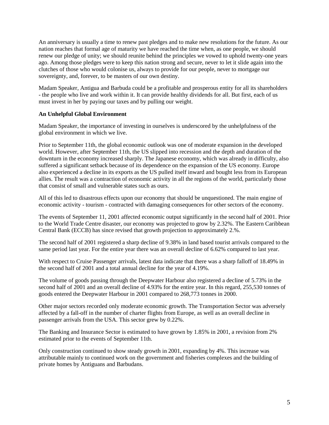An anniversary is usually a time to renew past pledges and to make new resolutions for the future. As our nation reaches that formal age of maturity we have reached the time when, as one people, we should renew our pledge of unity; we should reunite behind the principles we vowed to uphold twenty-one years ago. Among those pledges were to keep this nation strong and secure, never to let it slide again into the clutches of those who would colonise us, always to provide for our people, never to mortgage our sovereignty, and, forever, to be masters of our own destiny.

Madam Speaker, Antigua and Barbuda could be a profitable and prosperous entity for all its shareholders - the people who live and work within it. It can provide healthy dividends for all. But first, each of us must invest in her by paying our taxes and by pulling our weight.

## **An Unhelpful Global Environment**

Madam Speaker, the importance of investing in ourselves is underscored by the unhelpfulness of the global environment in which we live.

Prior to September 11th, the global economic outlook was one of moderate expansion in the developed world. However, after September 11th, the US slipped into recession and the depth and duration of the downturn in the economy increased sharply. The Japanese economy, which was already in difficulty, also suffered a significant setback because of its dependence on the expansion of the US economy. Europe also experienced a decline in its exports as the US pulled itself inward and bought less from its European allies. The result was a contraction of economic activity in all the regions of the world, particularly those that consist of small and vulnerable states such as ours.

All of this led to disastrous effects upon our economy that should be unquestioned. The main engine of economic activity - tourism - contracted with damaging consequences for other sectors of the economy.

The events of September 11, 2001 affected economic output significantly in the second half of 2001. Prior to the World Trade Centre disaster, our economy was projected to grow by 2.32%. The Eastern Caribbean Central Bank (ECCB) has since revised that growth projection to approximately 2.%.

The second half of 2001 registered a sharp decline of 9.38% in land based tourist arrivals compared to the same period last year. For the entire year there was an overall decline of 6.62% compared to last year.

With respect to Cruise Passenger arrivals, latest data indicate that there was a sharp falloff of 18.49% in the second half of 2001 and a total annual decline for the year of 4.19%.

The volume of goods passing through the Deepwater Harbour also registered a decline of 5.73% in the second half of 2001 and an overall decline of 4.93% for the entire year. In this regard, 255,530 tonnes of goods entered the Deepwater Harbour in 2001 compared to 268,773 tonnes in 2000.

Other major sectors recorded only moderate economic growth. The Transportation Sector was adversely affected by a fall-off in the number of charter flights from Europe, as well as an overall decline in passenger arrivals from the USA. This sector grew by 0.22%.

The Banking and Insurance Sector is estimated to have grown by 1.85% in 2001, a revision from 2% estimated prior to the events of September 11th.

Only construction continued to show steady growth in 2001, expanding by 4%. This increase was attributable mainly to continued work on the government and fisheries complexes and the building of private homes by Antiguans and Barbudans.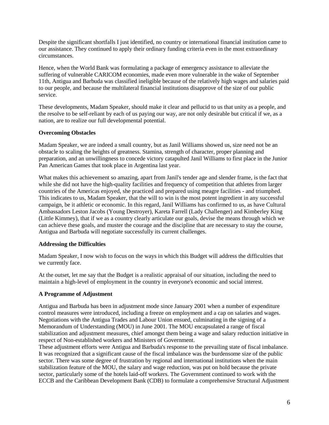Despite the significant shortfalls I just identified, no country or international financial institution came to our assistance. They continued to apply their ordinary funding criteria even in the most extraordinary circumstances.

Hence, when the World Bank was formulating a package of emergency assistance to alleviate the suffering of vulnerable CARICOM economies, made even more vulnerable in the wake of September 11th, Antigua and Barbuda was classified ineligible because of the relatively high wages and salaries paid to our people, and because the multilateral financial institutions disapprove of the size of our public service.

These developments, Madam Speaker, should make it clear and pellucid to us that unity as a people, and the resolve to be self-reliant by each of us paying our way, are not only desirable but critical if we, as a nation, are to realize our full developmental potential.

## **Overcoming Obstacles**

Madam Speaker, we are indeed a small country, but as Janil Williams showed us, size need not be an obstacle to scaling the heights of greatness. Stamina, strength of character, proper planning and preparation, and an unwillingness to concede victory catapulted Janil Williams to first place in the Junior Pan American Games that took place in Argentina last year.

What makes this achievement so amazing, apart from Janil's tender age and slender frame, is the fact that while she did not have the high-quality facilities and frequency of competition that athletes from larger countries of the Americas enjoyed, she practiced and prepared using meagre facilities - and triumphed. This indicates to us, Madam Speaker, that the will to win is the most potent ingredient in any successful campaign, be it athletic or economic. In this regard, Janil Williams has confirmed to us, as have Cultural Ambassadors Leston Jacobs (Young Destroyer), Kareta Farrell (Lady Challenger) and Kimberley King (Little Kimmey), that if we as a country clearly articulate our goals, devise the means through which we can achieve these goals, and muster the courage and the discipline that are necessary to stay the course, Antigua and Barbuda will negotiate successfully its current challenges.

# **Addressing the Difficulties**

Madam Speaker, I now wish to focus on the ways in which this Budget will address the difficulties that we currently face.

At the outset, let me say that the Budget is a realistic appraisal of our situation, including the need to maintain a high-level of employment in the country in everyone's economic and social interest.

# **A Programme of Adjustment**

Antigua and Barbuda has been in adjustment mode since January 2001 when a number of expenditure control measures were introduced, including a freeze on employment and a cap on salaries and wages. Negotiations with the Antigua Trades and Labour Union ensued, culminating in the signing of a Memorandum of Understanding (MOU) in June 2001. The MOU encapsulated a range of fiscal stabilization and adjustment measures, chief amongst them being a wage and salary reduction initiative in respect of Non-established workers and Ministers of Government.

These adjustment efforts were Antigua and Barbuda's response to the prevailing state of fiscal imbalance. It was recognized that a significant cause of the fiscal imbalance was the burdensome size of the public sector. There was some degree of frustration by regional and international institutions when the main stabilization feature of the MOU, the salary and wage reduction, was put on hold because the private sector, particularly some of the hotels laid-off workers. The Government continued to work with the ECCB and the Caribbean Development Bank (CDB) to formulate a comprehensive Structural Adjustment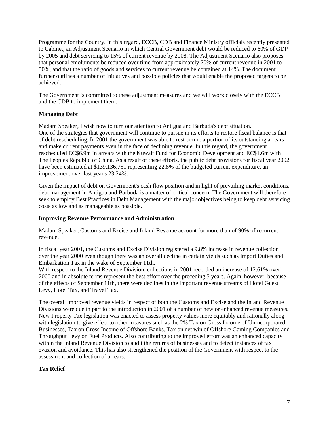Programme for the Country. In this regard, ECCB, CDB and Finance Ministry officials recently presented to Cabinet, an Adjustment Scenario in which Central Government debt would be reduced to 60% of GDP by 2005 and debt servicing to 15% of current revenue by 2008. The Adjustment Scenario also proposes that personal emoluments be reduced over time from approximately 70% of current revenue in 2001 to 50%, and that the ratio of goods and services to current revenue be contained at 14%. The document further outlines a number of initiatives and possible policies that would enable the proposed targets to be achieved.

The Government is committed to these adjustment measures and we will work closely with the ECCB and the CDB to implement them.

## **Managing Debt**

Madam Speaker, I wish now to turn our attention to Antigua and Barbuda's debt situation. One of the strategies that government will continue to pursue in its efforts to restore fiscal balance is that of debt rescheduling. In 2001 the government was able to restructure a portion of its outstanding arrears and make current payments even in the face of declining revenue. In this regard, the government rescheduled EC\$6.9m in arrears with the Kuwait Fund for Economic Development and EC\$1.6m with The Peoples Republic of China. As a result of these efforts, the public debt provisions for fiscal year 2002 have been estimated at \$139,136,751 representing 22.8% of the budgeted current expenditure, an improvement over last year's 23.24%.

Given the impact of debt on Government's cash flow position and in light of prevailing market conditions, debt management in Antigua and Barbuda is a matter of critical concern. The Government will therefore seek to employ Best Practices in Debt Management with the major objectives being to keep debt servicing costs as low and as manageable as possible.

#### **Improving Revenue Performance and Administration**

Madam Speaker, Customs and Excise and Inland Revenue account for more than of 90% of recurrent revenue.

In fiscal year 2001, the Customs and Excise Division registered a 9.8% increase in revenue collection over the year 2000 even though there was an overall decline in certain yields such as Import Duties and Embarkation Tax in the wake of September 11th.

With respect to the Inland Revenue Division, collections in 2001 recorded an increase of 12.61% over 2000 and in absolute terms represent the best effort over the preceding 5 years. Again, however, because of the effects of September 11th, there were declines in the important revenue streams of Hotel Guest Levy, Hotel Tax, and Travel Tax.

The overall improved revenue yields in respect of both the Customs and Excise and the Inland Revenue Divisions were due in part to the introduction in 2001 of a number of new or enhanced revenue measures. New Property Tax legislation was enacted to assess property values more equitably and rationally along with legislation to give effect to other measures such as the 2% Tax on Gross Income of Unincorporated Businesses, Tax on Gross Income of Offshore Banks, Tax on net win of Offshore Gaming Companies and Throughput Levy on Fuel Products. Also contributing to the improved effort was an enhanced capacity within the Inland Revenue Division to audit the returns of businesses and to detect instances of tax evasion and avoidance. This has also strengthened the position of the Government with respect to the assessment and collection of arrears.

#### **Tax Relief**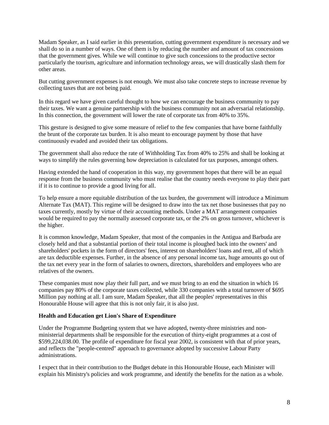Madam Speaker, as I said earlier in this presentation, cutting government expenditure is necessary and we shall do so in a number of ways. One of them is by reducing the number and amount of tax concessions that the government gives. While we will continue to give such concessions to the productive sector particularly the tourism, agriculture and information technology areas, we will drastically slash them for other areas.

But cutting government expenses is not enough. We must also take concrete steps to increase revenue by collecting taxes that are not being paid.

In this regard we have given careful thought to how we can encourage the business community to pay their taxes. We want a genuine partnership with the business community not an adversarial relationship. In this connection, the government will lower the rate of corporate tax from 40% to 35%.

This gesture is designed to give some measure of relief to the few companies that have borne faithfully the brunt of the corporate tax burden. It is also meant to encourage payment by those that have continuously evaded and avoided their tax obligations.

The government shall also reduce the rate of Withholding Tax from 40% to 25% and shall be looking at ways to simplify the rules governing how depreciation is calculated for tax purposes, amongst others.

Having extended the hand of cooperation in this way, my government hopes that there will be an equal response from the business community who must realise that the country needs everyone to play their part if it is to continue to provide a good living for all.

To help ensure a more equitable distribution of the tax burden, the government will introduce a Minimum Alternate Tax (MAT). This regime will be designed to draw into the tax net those businesses that pay no taxes currently, mostly by virtue of their accounting methods. Under a MAT arrangement companies would be required to pay the normally assessed corporate tax, or the 2% on gross turnover, whichever is the higher.

It is common knowledge, Madam Speaker, that most of the companies in the Antigua and Barbuda are closely held and that a substantial portion of their total income is ploughed back into the owners' and shareholders' pockets in the form of directors' fees, interest on shareholders' loans and rent, all of which are tax deductible expenses. Further, in the absence of any personal income tax, huge amounts go out of the tax net every year in the form of salaries to owners, directors, shareholders and employees who are relatives of the owners.

These companies must now play their full part, and we must bring to an end the situation in which 16 companies pay 80% of the corporate taxes collected, while 330 companies with a total turnover of \$695 Million pay nothing at all. I am sure, Madam Speaker, that all the peoples' representatives in this Honourable House will agree that this is not only fair, it is also just.

#### **Health and Education get Lion's Share of Expenditure**

Under the Programme Budgeting system that we have adopted, twenty-three ministries and nonministerial departments shall be responsible for the execution of thirty-eight programmes at a cost of \$599,224,038.00. The profile of expenditure for fiscal year 2002, is consistent with that of prior years, and reflects the "people-centred" approach to governance adopted by successive Labour Party administrations.

I expect that in their contribution to the Budget debate in this Honourable House, each Minister will explain his Ministry's policies and work programme, and identify the benefits for the nation as a whole.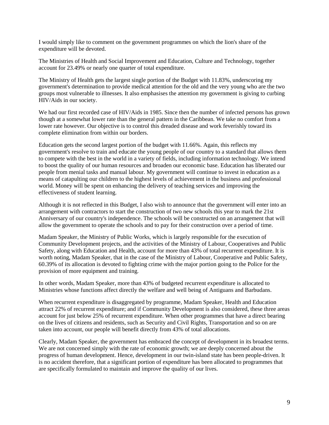I would simply like to comment on the government programmes on which the lion's share of the expenditure will be devoted.

The Ministries of Health and Social Improvement and Education, Culture and Technology, together account for 23.49% or nearly one quarter of total expenditure.

The Ministry of Health gets the largest single portion of the Budget with 11.83%, underscoring my government's determination to provide medical attention for the old and the very young who are the two groups most vulnerable to illnesses. It also emphasises the attention my government is giving to curbing HIV/Aids in our society.

We had our first recorded case of HIV/Aids in 1985. Since then the number of infected persons has grown though at a somewhat lower rate than the general pattern in the Caribbean. We take no comfort from a lower rate however. Our objective is to control this dreaded disease and work feverishly toward its complete elimination from within our borders.

Education gets the second largest portion of the budget with 11.66%. Again, this reflects my government's resolve to train and educate the young people of our country to a standard that allows them to compete with the best in the world in a variety of fields, including information technology. We intend to boost the quality of our human resources and broaden our economic base. Education has liberated our people from menial tasks and manual labour. My government will continue to invest in education as a means of catapulting our children to the highest levels of achievement in the business and professional world. Money will be spent on enhancing the delivery of teaching services and improving the effectiveness of student learning.

Although it is not reflected in this Budget, I also wish to announce that the government will enter into an arrangement with contractors to start the construction of two new schools this year to mark the 21st Anniversary of our country's independence. The schools will be constructed on an arrangement that will allow the government to operate the schools and to pay for their construction over a period of time.

Madam Speaker, the Ministry of Public Works, which is largely responsible for the execution of Community Development projects, and the activities of the Ministry of Labour, Cooperatives and Public Safety, along with Education and Health, account for more than 43% of total recurrent expenditure. It is worth noting, Madam Speaker, that in the case of the Ministry of Labour, Cooperative and Public Safety, 60.39% of its allocation is devoted to fighting crime with the major portion going to the Police for the provision of more equipment and training.

In other words, Madam Speaker, more than 43% of budgeted recurrent expenditure is allocated to Ministries whose functions affect directly the welfare and well being of Antiguans and Barbudans.

When recurrent expenditure is disaggregated by programme, Madam Speaker, Health and Education attract 22% of recurrent expenditure; and if Community Development is also considered, these three areas account for just below 25% of recurrent expenditure. When other programmes that have a direct bearing on the lives of citizens and residents, such as Security and Civil Rights, Transportation and so on are taken into account, our people will benefit directly from 43% of total allocations.

Clearly, Madam Speaker, the government has embraced the concept of development in its broadest terms. We are not concerned simply with the rate of economic growth; we are deeply concerned about the progress of human development. Hence, development in our twin-island state has been people-driven. It is no accident therefore, that a significant portion of expenditure has been allocated to programmes that are specifically formulated to maintain and improve the quality of our lives.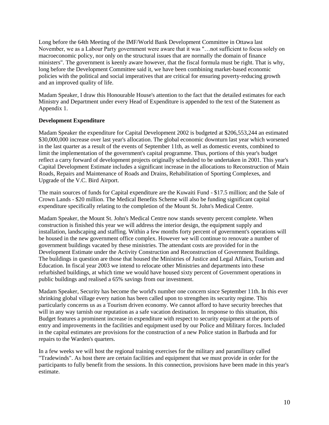Long before the 64th Meeting of the IMF/World Bank Development Committee in Ottawa last November, we as a Labour Party government were aware that it was "…not sufficient to focus solely on macroeconomic policy, nor only on the structural issues that are normally the domain of finance ministers". The government is keenly aware however, that the fiscal formula must be right. That is why, long before the Development Committee said it, we have been combining market-based economic policies with the political and social imperatives that are critical for ensuring poverty-reducing growth and an improved quality of life.

Madam Speaker, I draw this Honourable House's attention to the fact that the detailed estimates for each Ministry and Department under every Head of Expenditure is appended to the text of the Statement as Appendix 1.

## **Development Expenditure**

Madam Speaker the expenditure for Capital Development 2002 is budgeted at \$206,553,244 an estimated \$30,000,000 increase over last year's allocation. The global economic downturn last year which worsened in the last quarter as a result of the events of September 11th, as well as domestic events, combined to limit the implementation of the government's capital programme. Thus, portions of this year's budget reflect a carry forward of development projects originally scheduled to be undertaken in 2001. This year's Capital Development Estimate includes a significant increase in the allocations to Reconstruction of Main Roads, Repairs and Maintenance of Roads and Drains, Rehabilitation of Sporting Complexes, and Upgrade of the V.C. Bird Airport.

The main sources of funds for Capital expenditure are the Kuwaiti Fund - \$17.5 million; and the Sale of Crown Lands - \$20 million. The Medical Benefits Scheme will also be funding significant capital expenditure specifically relating to the completion of the Mount St. John's Medical Centre.

Madam Speaker, the Mount St. John's Medical Centre now stands seventy percent complete. When construction is finished this year we will address the interior design, the equipment supply and installation, landscaping and staffing. Within a few months forty percent of government's operations will be housed in the new government office complex. However we will continue to renovate a number of government buildings vacated by these ministries. The attendant costs are provided for in the Development Estimate under the Activity Construction and Reconstruction of Government Buildings. The buildings in question are those that housed the Ministries of Justice and Legal Affairs, Tourism and Education. In fiscal year 2003 we intend to relocate other Ministries and departments into these refurbished buildings, at which time we would have housed sixty percent of Government operations in public buildings and realised a 65% savings from our investment.

Madam Speaker, Security has become the world's number one concern since September 11th. In this ever shrinking global village every nation has been called upon to strengthen its security regime. This particularly concerns us as a Tourism driven economy. We cannot afford to have security breeches that will in any way tarnish our reputation as a safe vacation destination. In response to this situation, this Budget features a prominent increase in expenditure with respect to security equipment at the ports of entry and improvements in the facilities and equipment used by our Police and Military forces. Included in the capital estimates are provisions for the construction of a new Police station in Barbuda and for repairs to the Warden's quarters.

In a few weeks we will host the regional training exercises for the military and paramilitary called "Tradewinds". As host there are certain facilities and equipment that we must provide in order for the participants to fully benefit from the sessions. In this connection, provisions have been made in this year's estimate.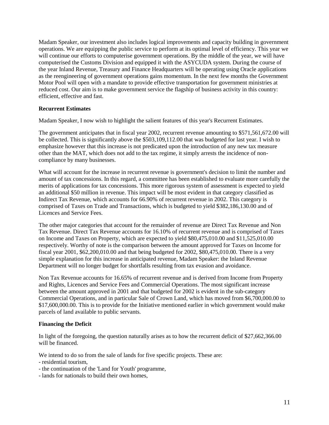Madam Speaker, our investment also includes logical improvements and capacity building in government operations. We are equipping the public service to perform at its optimal level of efficiency. This year we will continue our efforts to computerise government operations. By the middle of the year, we will have computerised the Customs Division and equipped it with the ASYCUDA system. During the course of the year Inland Revenue, Treasury and Finance Headquarters will be operating using Oracle applications as the reengineering of government operations gains momentum. In the next few months the Government Motor Pool will open with a mandate to provide effective transportation for government ministries at reduced cost. Our aim is to make government service the flagship of business activity in this country: efficient, effective and fast.

#### **Recurrent Estimates**

Madam Speaker, I now wish to highlight the salient features of this year's Recurrent Estimates.

The government anticipates that in fiscal year 2002, recurrent revenue amounting to \$571,561,672.00 will be collected. This is significantly above the \$503,109,112.00 that was budgeted for last year. I wish to emphasize however that this increase is not predicated upon the introduction of any new tax measure other than the MAT, which does not add to the tax regime, it simply arrests the incidence of noncompliance by many businesses.

What will account for the increase in recurrent revenue is government's decision to limit the number and amount of tax concessions. In this regard, a committee has been established to evaluate more carefully the merits of applications for tax concessions. This more rigorous system of assessment is expected to yield an additional \$50 million in revenue. This impact will be most evident in that category classified as Indirect Tax Revenue, which accounts for 66.90% of recurrent revenue in 2002. This category is comprised of Taxes on Trade and Transactions, which is budgeted to yield \$382,186,130.00 and of Licences and Service Fees.

The other major categories that account for the remainder of revenue are Direct Tax Revenue and Non Tax Revenue. Direct Tax Revenue accounts for 16.10% of recurrent revenue and is comprised of Taxes on Income and Taxes on Property, which are expected to yield \$80,475,010.00 and \$11,525,010.00 respectively. Worthy of note is the comparison between the amount approved for Taxes on Income for fiscal year 2001, \$62,200,010.00 and that being budgeted for 2002, \$80,475,010.00. There is a very simple explanation for this increase in anticipated revenue, Madam Speaker: the Inland Revenue Department will no longer budget for shortfalls resulting from tax evasion and avoidance.

Non Tax Revenue accounts for 16.65% of recurrent revenue and is derived from Income from Property and Rights, Licences and Service Fees and Commercial Operations. The most significant increase between the amount approved in 2001 and that budgeted for 2002 is evident in the sub-category Commercial Operations, and in particular Sale of Crown Land, which has moved from \$6,700,000.00 to \$17,600,000.00. This is to provide for the Initiative mentioned earlier in which government would make parcels of land available to public servants.

#### **Financing the Deficit**

In light of the foregoing, the question naturally arises as to how the recurrent deficit of \$27,662,366.00 will be financed.

We intend to do so from the sale of lands for five specific projects. These are:

- residential tourism,
- the continuation of the 'Land for Youth' programme,
- lands for nationals to build their own homes,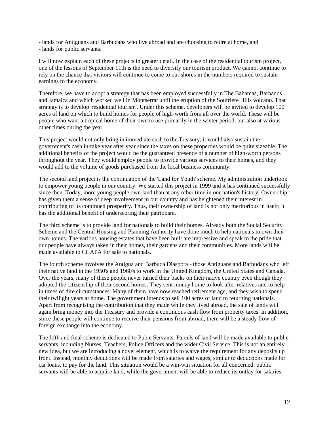- lands for Antiguans and Barbudans who live abroad and are choosing to retire at home, and - lands for public servants.

I will now explain each of these projects in greater detail. In the case of the residential tourism project, one of the lessons of September 11th is the need to diversify our tourism product. We cannot continue to rely on the chance that visitors will continue to come to our shores in the numbers required to sustain earnings to the economy.

Therefore, we have to adopt a strategy that has been employed successfully in The Bahamas, Barbados and Jamaica and which worked well in Montserrat until the eruption of the Soufriere Hills volcano. That strategy is to develop 'residential tourism'. Under this scheme, developers will be invited to develop 100 acres of land on which to build homes for people of high-worth from all over the world. These will be people who want a tropical home of their own to use primarily in the winter period, but also at various other times during the year.

This project would not only bring in immediate cash to the Treasury, it would also sustain the government's cash in-take year after year since the taxes on these properties would be quite sizeable. The additional benefits of the project would be the guaranteed presence of a number of high-worth persons throughout the year. They would employ people to provide various services to their homes, and they would add to the volume of goods purchased from the local business community.

The second land project is the continuation of the 'Land for Youth' scheme. My administration undertook to empower young people in our country. We started this project in 1999 and it has continued successfully since then. Today, more young people own land than at any other time in our nation's history. Ownership has given them a sense of deep involvement in our country and has heightened their interest in contributing to its continued prosperity. Thus, their ownership of land is not only meritorious in itself; it has the additional benefit of underscoring their patriotism.

The third scheme is to provide land for nationals to build their homes. Already both the Social Security Scheme and the Central Housing and Planning Authority have done much to help nationals to own their own homes. The various housing estates that have been built are impressive and speak to the pride that our people have always taken in their homes, their gardens and their communities. More lands will be made available to CHAPA for sale to nationals.

The fourth scheme involves the Antigua and Barbuda Diaspora - those Antiguans and Barbudans who left their native land in the 1950's and 1960's to work in the United Kingdom, the United States and Canada. Over the years, many of these people never turned their backs on their native country even though they adopted the citizenship of their second homes. They sent money home to look after relatives and to help in times of dire circumstances. Many of them have now reached retirement age, and they wish to spend their twilight years at home. The government intends to sell 100 acres of land to returning nationals. Apart from recognising the contribution that they made while they lived abroad, the sale of lands will again bring money into the Treasury and provide a continuous cash flow from property taxes. In addition, since these people will continue to receive their pensions from abroad, there will be a steady flow of foreign exchange into the economy.

The fifth and final scheme is dedicated to Pubic Servants. Parcels of land will be made available to public servants, including Nurses, Teachers, Police Officers and the wider Civil Service. This is not an entirely new idea, but we are introducing a novel element, which is to waive the requirement for any deposits up front. Instead, monthly deductions will be made from salaries and wages, similar to deductions made for car loans, to pay for the land. This situation would be a win-win situation for all concerned: public servants will be able to acquire land, while the government will be able to reduce its outlay for salaries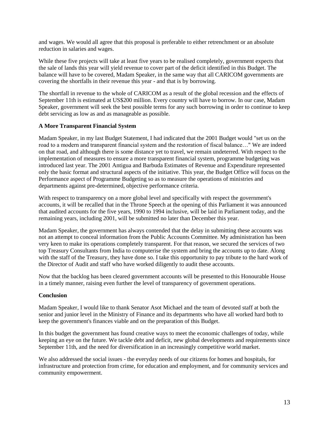and wages. We would all agree that this proposal is preferable to either retrenchment or an absolute reduction in salaries and wages.

While these five projects will take at least five years to be realised completely, government expects that the sale of lands this year will yield revenue to cover part of the deficit identified in this Budget. The balance will have to be covered, Madam Speaker, in the same way that all CARICOM governments are covering the shortfalls in their revenue this year - and that is by borrowing.

The shortfall in revenue to the whole of CARICOM as a result of the global recession and the effects of September 11th is estimated at US\$200 million. Every country will have to borrow. In our case, Madam Speaker, government will seek the best possible terms for any such borrowing in order to continue to keep debt servicing as low as and as manageable as possible.

## **A More Transparent Financial System**

Madam Speaker, in my last Budget Statement, I had indicated that the 2001 Budget would "set us on the road to a modern and transparent financial system and the restoration of fiscal balance…" We are indeed on that road, and although there is some distance yet to travel, we remain undeterred. With respect to the implementation of measures to ensure a more transparent financial system, programme budgeting was introduced last year. The 2001 Antigua and Barbuda Estimates of Revenue and Expenditure represented only the basic format and structural aspects of the initiative. This year, the Budget Office will focus on the Performance aspect of Programme Budgeting so as to measure the operations of ministries and departments against pre-determined, objective performance criteria.

With respect to transparency on a more global level and specifically with respect the government's accounts, it will be recalled that in the Throne Speech at the opening of this Parliament it was announced that audited accounts for the five years, 1990 to 1994 inclusive, will be laid in Parliament today, and the remaining years, including 2001, will be submitted no later than December this year.

Madam Speaker, the government has always contended that the delay in submitting these accounts was not an attempt to conceal information from the Public Accounts Committee. My administration has been very keen to make its operations completely transparent. For that reason, we secured the services of two top Treasury Consultants from India to computerise the system and bring the accounts up to date. Along with the staff of the Treasury, they have done so. I take this opportunity to pay tribute to the hard work of the Director of Audit and staff who have worked diligently to audit these accounts.

Now that the backlog has been cleared government accounts will be presented to this Honourable House in a timely manner, raising even further the level of transparency of government operations.

#### **Conclusion**

Madam Speaker, I would like to thank Senator Asot Michael and the team of devoted staff at both the senior and junior level in the Ministry of Finance and its departments who have all worked hard both to keep the government's finances viable and on the preparation of this Budget.

In this budget the government has found creative ways to meet the economic challenges of today, while keeping an eye on the future. We tackle debt and deficit, new global developments and requirements since September 11th, and the need for diversification in an increasingly competitive world market.

We also addressed the social issues - the everyday needs of our citizens for homes and hospitals, for infrastructure and protection from crime, for education and employment, and for community services and community empowerment.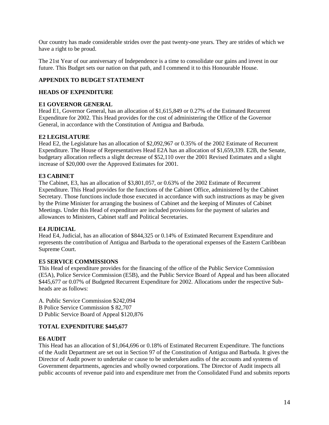Our country has made considerable strides over the past twenty-one years. They are strides of which we have a right to be proud.

The 21st Year of our anniversary of Independence is a time to consolidate our gains and invest in our future. This Budget sets our nation on that path, and I commend it to this Honourable House.

# **APPENDIX TO BUDGET STATEMENT**

## **HEADS OF EXPENDITURE**

## **E1 GOVERNOR GENERAL**

Head E1, Governor General, has an allocation of \$1,615,849 or 0.27% of the Estimated Recurrent Expenditure for 2002. This Head provides for the cost of administering the Office of the Governor General, in accordance with the Constitution of Antigua and Barbuda.

## **E2 LEGISLATURE**

Head E2, the Legislature has an allocation of \$2,092,967 or 0.35% of the 2002 Estimate of Recurrent Expenditure. The House of Representatives Head E2A has an allocation of \$1,659,339. E2B, the Senate, budgetary allocation reflects a slight decrease of \$52,110 over the 2001 Revised Estimates and a slight increase of \$20,000 over the Approved Estimates for 2001.

## **E3 CABINET**

The Cabinet, E3, has an allocation of \$3,801,057, or 0.63% of the 2002 Estimate of Recurrent Expenditure. This Head provides for the functions of the Cabinet Office, administered by the Cabinet Secretary. Those functions include those executed in accordance with such instructions as may be given by the Prime Minister for arranging the business of Cabinet and the keeping of Minutes of Cabinet Meetings. Under this Head of expenditure are included provisions for the payment of salaries and allowances to Ministers, Cabinet staff and Political Secretaries.

# **E4 JUDICIAL**

Head E4, Judicial, has an allocation of \$844,325 or 0.14% of Estimated Recurrent Expenditure and represents the contribution of Antigua and Barbuda to the operational expenses of the Eastern Caribbean Supreme Court.

# **E5 SERVICE COMMISSIONS**

This Head of expenditure provides for the financing of the office of the Public Service Commission (E5A), Police Service Commission (E5B), and the Public Service Board of Appeal and has been allocated \$445,677 or 0.07% of Budgeted Recurrent Expenditure for 2002. Allocations under the respective Subheads are as follows:

A. Public Service Commission \$242,094 B Police Service Commission \$ 82,707 D Public Service Board of Appeal \$120,876

# **TOTAL EXPENDITURE \$445,677**

#### **E6 AUDIT**

This Head has an allocation of \$1,064,696 or 0.18% of Estimated Recurrent Expenditure. The functions of the Audit Department are set out in Section 97 of the Constitution of Antigua and Barbuda. It gives the Director of Audit power to undertake or cause to be undertaken audits of the accounts and systems of Government departments, agencies and wholly owned corporations. The Director of Audit inspects all public accounts of revenue paid into and expenditure met from the Consolidated Fund and submits reports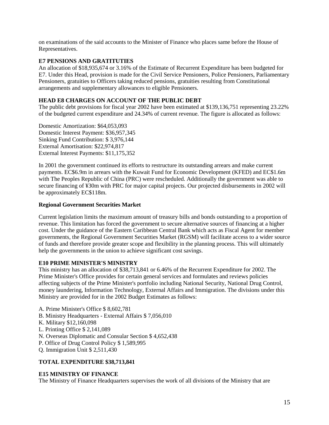on examinations of the said accounts to the Minister of Finance who places same before the House of Representatives.

# **E7 PENSIONS AND GRATITUTIES**

An allocation of \$18,935,674 or 3.16% of the Estimate of Recurrent Expenditure has been budgeted for E7. Under this Head, provision is made for the Civil Service Pensioners, Police Pensioners, Parliamentary Pensioners, gratuities to Officers taking reduced pensions, gratuities resulting from Constitutional arrangements and supplementary allowances to eligible Pensioners.

# **HEAD E8 CHARGES ON ACCOUNT OF THE PUBLIC DEBT**

The public debt provisions for fiscal year 2002 have been estimated at \$139,136,751 representing 23.22% of the budgeted current expenditure and 24.34% of current revenue. The figure is allocated as follows:

Domestic Amortization: \$64,053,093 Domestic Interest Payment: \$36,957,345 Sinking Fund Contribution: \$ 3,976,144 External Amortisation: \$22,974,817 External Interest Payments: \$11,175,352

In 2001 the government continued its efforts to restructure its outstanding arrears and make current payments. EC\$6.9m in arrears with the Kuwait Fund for Economic Development (KFED) and EC\$1.6m with The Peoples Republic of China (PRC) were rescheduled. Additionally the government was able to secure financing of ¥30m with PRC for major capital projects. Our projected disbursements in 2002 will be approximately EC\$118m.

## **Regional Government Securities Market**

Current legislation limits the maximum amount of treasury bills and bonds outstanding to a proportion of revenue. This limitation has forced the government to secure alternative sources of financing at a higher cost. Under the guidance of the Eastern Caribbean Central Bank which acts as Fiscal Agent for member governments, the Regional Government Securities Market (RGSM) will facilitate access to a wider source of funds and therefore provide greater scope and flexibility in the planning process. This will ultimately help the governments in the union to achieve significant cost savings.

# **E10 PRIME MINISTER'S MINISTRY**

This ministry has an allocation of \$38,713,841 or 6.46% of the Recurrent Expenditure for 2002. The Prime Minister's Office provides for certain general services and formulates and reviews policies affecting subjects of the Prime Minister's portfolio including National Security, National Drug Control, money laundering, Information Technology, External Affairs and Immigration. The divisions under this Ministry are provided for in the 2002 Budget Estimates as follows:

- A. Prime Minister's Office \$ 8,602,781
- B. Ministry Headquarters External Affairs \$ 7,056,010
- K. Military \$12,160,098
- L. Printing Office \$ 2,141,089
- N. Overseas Diplomatic and Consular Section \$ 4,652,438
- P. Office of Drug Control Policy \$ 1,589,995
- Q. Immigration Unit \$ 2,511,430

# **TOTAL EXPENDITURE \$38,713,841**

#### **E15 MINISTRY OF FINANCE**

The Ministry of Finance Headquarters supervises the work of all divisions of the Ministry that are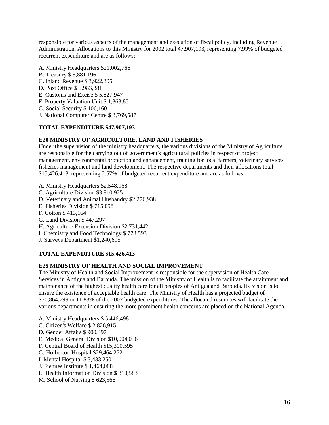responsible for various aspects of the management and execution of fiscal policy, including Revenue Administration. Allocations to this Ministry for 2002 total 47,907,193, representing 7.99% of budgeted recurrent expenditure and are as follows:

- A. Ministry Headquarters \$21,002,766
- B. Treasury \$ 5,881,196
- C. Inland Revenue \$ 3,922,305
- D. Post Office \$ 5,983,381
- E. Customs and Excise \$ 5,827,947
- F. Property Valuation Unit \$ 1,363,851
- G. Social Security \$ 106,160
- J. National Computer Centre \$ 3,769,587

# **TOTAL EXPENDITURE \$47,907,193**

# **E20 MINISTRY OF AGRICULTURE, LAND AND FISHERIES**

Under the supervision of the ministry headquarters, the various divisions of the Ministry of Agriculture are responsible for the carrying out of government's agricultural policies in respect of project management, environmental protection and enhancement, training for local farmers, veterinary services fisheries management and land development. The respective departments and their allocations total \$15,426,413, representing 2.57% of budgeted recurrent expenditure and are as follows:

- A. Ministry Headquarters \$2,548,968
- C. Agriculture Division \$3,810,925
- D. Veterinary and Animal Husbandry \$2,276,938
- E. Fisheries Division \$ 715,058
- F. Cotton \$ 413,164
- G. Land Division \$ 447,297
- H. Agriculture Extension Division \$2,731,442
- I. Chemistry and Food Technology \$ 778,593
- J. Surveys Department \$1,240,695

# **TOTAL EXPENDITURE \$15,426,413**

# **E25 MINISTRY OF HEALTH AND SOCIAL IMPROVEMENT**

The Ministry of Health and Social Improvement is responsible for the supervision of Health Care Services in Antigua and Barbuda. The mission of the Ministry of Health is to facilitate the attainment and maintenance of the highest quality health care for all peoples of Antigua and Barbuda. Its' vision is to ensure the existence of acceptable health care. The Ministry of Health has a projected budget of \$70,864,799 or 11.83% of the 2002 budgeted expenditures. The allocated resources will facilitate the various departments in ensuring the more prominent health concerns are placed on the National Agenda.

- A. Ministry Headquarters \$ 5,446,498
- C. Citizen's Welfare \$ 2,826,915
- D. Gender Affairs \$ 900,497
- E. Medical General Division \$10,004,056
- F. Central Board of Health \$15,300,595
- G. Holberton Hospital \$29,464,272
- I. Mental Hospital \$ 3,433,250
- J. Fiennes Institute \$ 1,464,088
- L. Health Information Division \$ 310,583
- M. School of Nursing \$ 623,566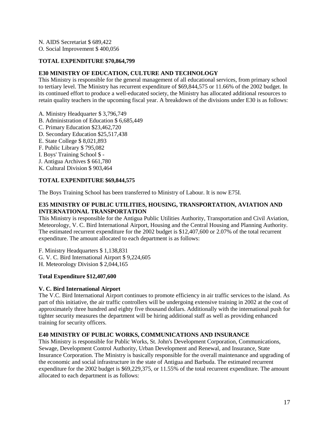N. AIDS Secretariat \$ 689,422

O. Social Improvement \$ 400,056

### **TOTAL EXPENDITURE \$70,864,799**

## **E30 MINISTRY OF EDUCATION, CULTURE AND TECHNOLOGY**

This Ministry is responsible for the general management of all educational services, from primary school to tertiary level. The Ministry has recurrent expenditure of \$69,844,575 or 11.66% of the 2002 budget. In its continued effort to produce a well-educated society, the Ministry has allocated additional resources to retain quality teachers in the upcoming fiscal year. A breakdown of the divisions under E30 is as follows:

A. Ministry Headquarter \$ 3,796,749 B. Administration of Education \$ 6,685,449 C. Primary Education \$23,462,720 D. Secondary Education \$25,517,438 E. State College \$ 8,021,893 F. Public Library \$ 795,082 I. Boys' Training School \$ - J. Antigua Archives \$ 661,780 K. Cultural Division \$ 903,464

## **TOTAL EXPENDITURE \$69,844,575**

The Boys Training School has been transferred to Ministry of Labour. It is now E75I.

## **E35 MINISTRY OF PUBLIC UTILITIES, HOUSING, TRANSPORTATION, AVIATION AND INTERNATIONAL TRANSPORTATION**

This Ministry is responsible for the Antigua Public Utilities Authority, Transportation and Civil Aviation, Meteorology, V. C. Bird International Airport, Housing and the Central Housing and Planning Authority. The estimated recurrent expenditure for the 2002 budget is \$12,407,600 or 2.07% of the total recurrent expenditure. The amount allocated to each department is as follows:

F. Ministry Headquarters \$ 1,138,831 G. V. C. Bird International Airport \$ 9,224,605 H. Meteorology Division \$ 2,044,165

#### **Total Expenditure \$12,407,600**

#### **V. C. Bird International Airport**

The V.C. Bird International Airport continues to promote efficiency in air traffic services to the island. As part of this initiative, the air traffic controllers will be undergoing extensive training in 2002 at the cost of approximately three hundred and eighty five thousand dollars. Additionally with the international push for tighter security measures the department will be hiring additional staff as well as providing enhanced training for security officers.

#### **E40 MINISTRY OF PUBLIC WORKS, COMMUNICATIONS AND INSURANCE**

This Ministry is responsible for Public Works, St. John's Development Corporation, Communications, Sewage, Development Control Authority, Urban Development and Renewal, and Insurance, State Insurance Corporation. The Ministry is basically responsible for the overall maintenance and upgrading of the economic and social infrastructure in the state of Antigua and Barbuda. The estimated recurrent expenditure for the 2002 budget is \$69,229,375, or 11.55% of the total recurrent expenditure. The amount allocated to each department is as follows: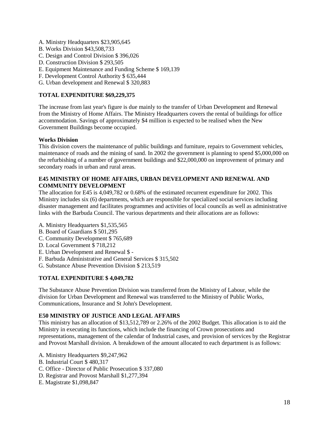- A. Ministry Headquarters \$23,905,645
- B. Works Division \$43,508,733
- C. Design and Control Division \$ 396,026
- D. Construction Division \$ 293,505
- E. Equipment Maintenance and Funding Scheme \$ 169,139
- F. Development Control Authority \$ 635,444
- G. Urban development and Renewal \$ 320,883

## **TOTAL EXPENDITURE \$69,229,375**

The increase from last year's figure is due mainly to the transfer of Urban Development and Renewal from the Ministry of Home Affairs. The Ministry Headquarters covers the rental of buildings for office accommodation. Savings of approximately \$4 million is expected to be realised when the New Government Buildings become occupied.

## **Works Division**

This division covers the maintenance of public buildings and furniture, repairs to Government vehicles, maintenance of roads and the mining of sand. In 2002 the government is planning to spend \$5,000,000 on the refurbishing of a number of government buildings and \$22,000,000 on improvement of primary and secondary roads in urban and rural areas.

#### **E45 MINISTRY OF HOME AFFAIRS, URBAN DEVELOPMENT AND RENEWAL AND COMMUNITY DEVELOPMENT**

The allocation for E45 is 4,049,782 or 0.68% of the estimated recurrent expenditure for 2002. This Ministry includes six (6) departments, which are responsible for specialized social services including disaster management and facilitates programmes and activities of local councils as well as administrative links with the Barbuda Council. The various departments and their allocations are as follows:

- A. Ministry Headquarters \$1,535,565
- B. Board of Guardians \$ 501,295
- C. Community Development \$ 765,689
- D. Local Government \$ 718,212
- E. Urban Development and Renewal \$ -
- F. Barbuda Administrative and General Services \$ 315,502
- G. Substance Abuse Prevention Division \$ 213,519

# **TOTAL EXPENDITURE \$ 4,049,782**

The Substance Abuse Prevention Division was transferred from the Ministry of Labour, while the division for Urban Development and Renewal was transferred to the Ministry of Public Works, Communications, Insurance and St John's Development.

# **E50 MINISTRY OF JUSTICE AND LEGAL AFFAIRS**

This ministry has an allocation of \$13,512,789 or 2.26% of the 2002 Budget. This allocation is to aid the Ministry in executing its functions, which include the financing of Crown prosecutions and representations, management of the calendar of Industrial cases, and provision of services by the Registrar and Provost Marshall division. A breakdown of the amount allocated to each department is as follows:

- A. Ministry Headquarters \$9,247,962
- B. Industrial Court \$ 480,317
- C. Office Director of Public Prosecution \$ 337,080
- D. Registrar and Provost Marshall \$1,277,394
- E. Magistrate \$1,098,847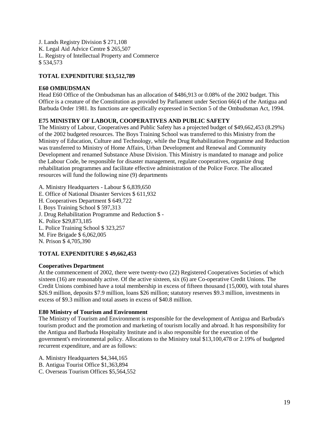J. Lands Registry Division \$ 271,108 K. Legal Aid Advice Centre \$ 265,507 L. Registry of Intellectual Property and Commerce \$ 534,573

## **TOTAL EXPENDITURE \$13,512,789**

#### **E60 OMBUDSMAN**

Head E60 Office of the Ombudsman has an allocation of \$486,913 or 0.08% of the 2002 budget. This Office is a creature of the Constitution as provided by Parliament under Section 66(4) of the Antigua and Barbuda Order 1981. Its functions are specifically expressed in Section 5 of the Ombudsman Act, 1994.

## **E75 MINISTRY OF LABOUR, COOPERATIVES AND PUBLIC SAFETY**

The Ministry of Labour, Cooperatives and Public Safety has a projected budget of \$49,662,453 (8.29%) of the 2002 budgeted resources. The Boys Training School was transferred to this Ministry from the Ministry of Education, Culture and Technology, while the Drug Rehabilitation Programme and Reduction was transferred to Ministry of Home Affairs, Urban Development and Renewal and Community Development and renamed Substance Abuse Division. This Ministry is mandated to manage and police the Labour Code, be responsible for disaster management, regulate cooperatives, organize drug rehabilitation programmes and facilitate effective administration of the Police Force. The allocated resources will fund the following nine (9) departments

A. Ministry Headquarters - Labour \$ 6,839,650 E. Office of National Disaster Services \$ 611,932 H. Cooperatives Department \$ 649,722 I. Boys Training School \$ 597,313 J. Drug Rehabilitation Programme and Reduction \$ - K. Police \$29,873,185 L. Police Training School \$ 323,257 M. Fire Brigade \$ 6,062,005 N. Prison \$ 4,705,390

#### **TOTAL EXPENDITURE \$ 49,662,453**

#### **Cooperatives Department**

At the commencement of 2002, there were twenty-two (22) Registered Cooperatives Societies of which sixteen (16) are reasonably active. Of the active sixteen, six (6) are Co-operative Credit Unions. The Credit Unions combined have a total membership in excess of fifteen thousand (15,000), with total shares \$26.9 million, deposits \$7.9 million, loans \$26 million; statutory reserves \$9.3 million, investments in excess of \$9.3 million and total assets in excess of \$40.8 million.

#### **E80 Ministry of Tourism and Environment**

The Ministry of Tourism and Environment is responsible for the development of Antigua and Barbuda's tourism product and the promotion and marketing of tourism locally and abroad. It has responsibility for the Antigua and Barbuda Hospitality Institute and is also responsible for the execution of the government's environmental policy. Allocations to the Ministry total \$13,100,478 or 2.19% of budgeted recurrent expenditure, and are as follows:

A. Ministry Headquarters \$4,344,165

B. Antigua Tourist Office \$1,363,894

C. Overseas Tourism Offices \$5,564,552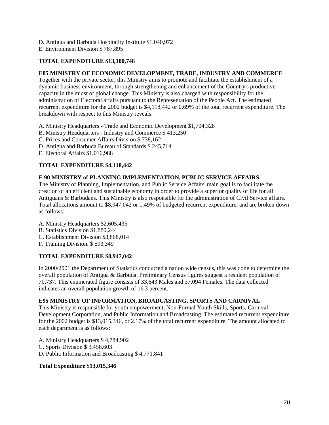- D. Antigua and Barbuda Hospitality Institute \$1,040,972
- E. Environment Division \$ 787,895

# **TOTAL EXPENDITURE \$13,100,748**

### **E85 MINISTRY OF ECONOMIC DEVELOPMENT, TRADE, INDUSTRY AND COMMERCE**

Together with the private sector, this Ministry aims to promote and facilitate the establishment of a dynamic business environment, through strengthening and enhancement of the Country's productive capacity in the midst of global change. This Ministry is also charged with responsibility for the administration of Electoral affairs pursuant to the Representation of the People Act. The estimated recurrent expenditure for the 2002 budget is \$4,118,442 or 0.69% of the total recurrent expenditure. The breakdown with respect to this Ministry reveals:

- A. Ministry Headquarters Trade and Economic Development \$1,704,328
- B. Ministry Headquarters Industry and Commerce \$ 413,250
- C. Prices and Consumer Affairs Division \$ 738,162
- D. Antigua and Barbuda Bureau of Standards \$ 245,714
- E. Electoral Affairs \$1,016,988

# **TOTAL EXPENDITURE \$4,118,442**

# **E 90 MINISTRY of PLANNING IMPLEMENTATION, PUBLIC SERVICE AFFAIRS**

The Ministry of Planning, Implementation, and Public Service Affairs' main goal is to facilitate the creation of an efficient and sustainable economy in order to provide a superior quality of life for all Antiguans & Barbudans. This Ministry is also responsible for the administration of Civil Service affairs. Total allocations amount to \$8,947,042 or 1.49% of budgeted recurrent expenditure, and are broken down as follows:

- A. Ministry Headquarters \$2,605,435
- B. Statistics Division \$1,880,244
- C. Establishment Division \$3,868,014
- F. Training Division. \$ 593,349

#### **TOTAL EXPENDITURE \$8,947,042**

In 2000/2001 the Department of Statistics conducted a nation wide census, this was done to determine the overall population of Antigua & Barbuda. Preliminary Census figures suggest a resident population of 70,737. This enumerated figure consists of 33,643 Males and 37,094 Females. The data collected indicates an overall population growth of 16.3 percent.

## **E95 MINISTRY OF INFORMATION, BROADCASTING, SPORTS AND CARNIVAL**

This Ministry is responsible for youth empowerment, Non-Formal Youth Skills, Sports, Carnival Development Corporation, and Public Information and Broadcasting. The estimated recurrent expenditure for the 2002 budget is \$13,015,346, or 2.17% of the total recurrent expenditure. The amount allocated to each department is as follows:

- A. Ministry Headquarters \$ 4,784,902
- C. Sports Division \$ 3,458,603
- D. Public Information and Broadcasting \$ 4,771,841

# **Total Expenditure \$13,015,346**